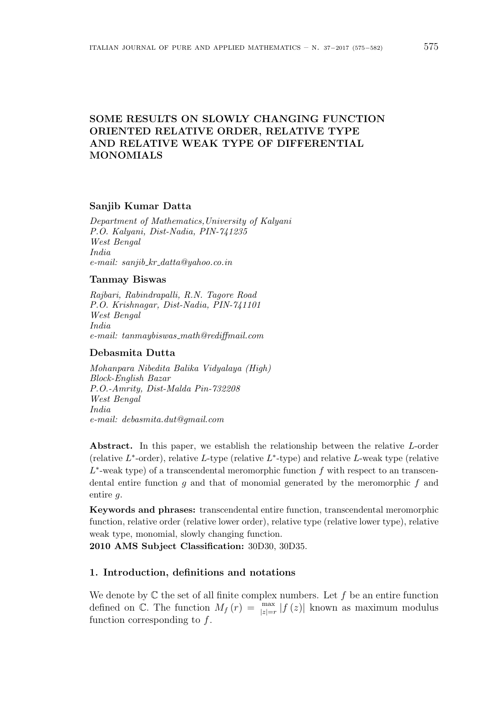# **SOME RESULTS ON SLOWLY CHANGING FUNCTION ORIENTED RELATIVE ORDER, RELATIVE TYPE AND RELATIVE WEAK TYPE OF DIFFERENTIAL MONOMIALS**

#### **Sanjib Kumar Datta**

*Department of Mathematics,University of Kalyani P.O. Kalyani, Dist-Nadia, PIN-741235 West Bengal India e-mail: sanjib kr datta@yahoo.co.in*

#### **Tanmay Biswas**

*Rajbari, Rabindrapalli, R.N. Tagore Road P.O. Krishnagar, Dist-Nadia, PIN-741101 West Bengal India e-mail: tanmaybiswas math@rediffmail.com*

### **Debasmita Dutta**

*Mohanpara Nibedita Balika Vidyalaya (High) Block-English Bazar P.O.-Amrity, Dist-Malda Pin-732208 West Bengal India e-mail: debasmita.dut@gmail.com*

**Abstract.** In this paper, we establish the relationship between the relative *L*-order (relative *L ∗* -order), relative *L*-type (relative *L ∗* -type) and relative *L*-weak type (relative *L ∗* -weak type) of a transcendental meromorphic function *f* with respect to an transcendental entire function *g* and that of monomial generated by the meromorphic *f* and entire *g.*

**Keywords and phrases:** transcendental entire function, transcendental meromorphic function, relative order (relative lower order), relative type (relative lower type), relative weak type, monomial, slowly changing function.

**2010 AMS Subject Classification:** 30D30, 30D35.

### **1. Introduction, definitions and notations**

We denote by  $\mathbb C$  the set of all finite complex numbers. Let f be an entire function defined on  $\mathbb{C}$ . The function  $M_f(r) = \max_{|z|=r} |f(z)|$  known as maximum modulus function corresponding to *f*.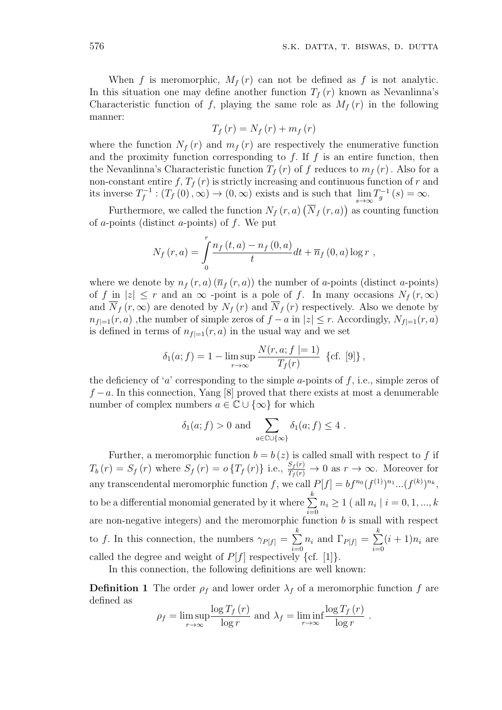When  $f$  is meromorphic,  $M_f(r)$  can not be defined as  $f$  is not analytic. In this situation one may define another function  $T_f(r)$  known as Nevanlinna's Characteristic function of *f*, playing the same role as  $M_f(r)$  in the following manner:

$$
T_f(r) = N_f(r) + m_f(r)
$$

where the function  $N_f(r)$  and  $m_f(r)$  are respectively the enumerative function and the proximity function corresponding to  $f$ . If  $f$  is an entire function, then the Nevanlinna's Characteristic function  $T_f(r)$  of f reduces to  $m_f(r)$ . Also for a non-constant entire  $f, T_f(r)$  is strictly increasing and continuous function of  $r$  and its inverse  $T_f^{-1}$  $f^{-1}$ :  $(T_f(0), \infty) \to (0, \infty)$  exists and is such that  $\lim_{s \to \infty} T_g^{-1}(s) = \infty$ .

Furthermore, we called the function  $N_f(r, a)$   $(\overline{N}_f(r, a))$  as counting function of *a*-points (distinct *a*-points) of *f*. We put

$$
N_f(r, a) = \int_{0}^{r} \frac{n_f(t, a) - n_f(0, a)}{t} dt + \overline{n}_f(0, a) \log r,
$$

where we denote by  $n_f(r, a) (\overline{n}_f(r, a))$  the number of *a*-points (distinct *a*-points) of *f* in  $|z| \leq r$  and an  $\infty$  -point is a pole of *f*. In many occasions  $N_f(r, \infty)$ and  $\overline{N}_f(r,\infty)$  are denoted by  $N_f(r)$  and  $\overline{N}_f(r)$  respectively. Also we denote by *n*<sup>*f*</sup>|=1(*r, a*) ,the number of simple zeros of *f* − *a* in  $|z|$  ≤ *r*. Accordingly,  $N_{f|=1}(r, a)$ is defined in terms of  $n_{f|=1}(r, a)$  in the usual way and we set

$$
\delta_1(a; f) = 1 - \limsup_{r \to \infty} \frac{N(r, a; f \mid = 1)}{T_f(r)} \{cf. [9] \},
$$

the deficiency of '*a*' corresponding to the simple *a*-points of *f*, i.e., simple zeros of *f* − *a*. In this connection, Yang [8] proved that there exists at most a denumerable number of complex numbers  $a \in \mathbb{C} \cup \{\infty\}$  for which

$$
\delta_1(a; f) > 0
$$
 and  $\sum_{a \in \mathbb{C} \cup \{\infty\}} \delta_1(a; f) \leq 4$ .

Further, a meromorphic function  $b = b(z)$  is called small with respect to f if  $T_b(r) = S_f(r)$  where  $S_f(r) = o\{T_f(r)\}\$ i.e.,  $\frac{S_f(r)}{T_f(r)} \to 0$  as  $r \to \infty$ . Moreover for any transcendental meromorphic function *f*, we call  $P[f] = bf^{n_0} (f^{(1)})^{n_1} ... (f^{(k)})^{n_k}$ , to be a differential monomial generated by it where  $\sum_{k=1}^{k}$ *i*=0  $n_i \geq 1$  ( all  $n_i \mid i = 0, 1, ..., k$ are non-negative integers) and the meromorphic function  $b$  is small with respect to *f*. In this connection, the numbers  $\gamma_{P[f]} = \sum_{k=1}^{k}$ *i*=0  $n_i$  and  $\Gamma_{P[f]} = \sum^k$ *i*=0  $(i + 1)n_i$  are called the degree and weight of  $P[f]$  respectively  $\{cf. [1]\}.$ 

In this connection, the following definitions are well known:

**Definition 1** The order  $\rho_f$  and lower order  $\lambda_f$  of a meromorphic function *f* are defined as

$$
\rho_f = \limsup_{r \to \infty} \frac{\log T_f(r)}{\log r}
$$
 and  $\lambda_f = \liminf_{r \to \infty} \frac{\log T_f(r)}{\log r}$ .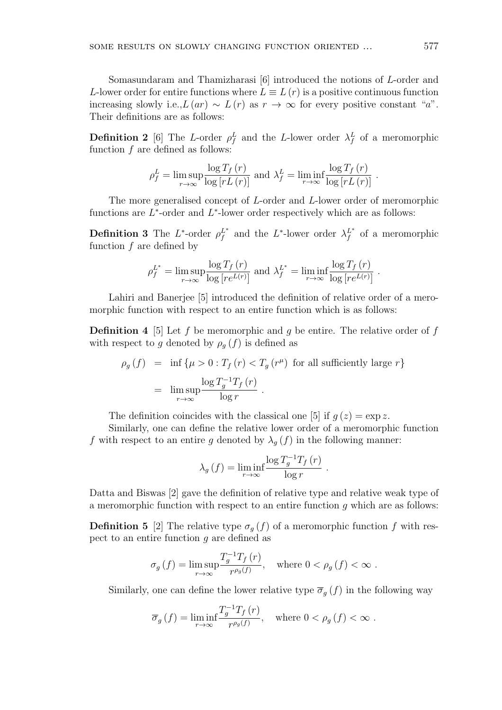Somasundaram and Thamizharasi [6] introduced the notions of *L*-order and *L*-lower order for entire functions where  $L \equiv L(r)$  is a positive continuous function increasing slowly i.e., $L(ar) \sim L(r)$  as  $r \to \infty$  for every positive constant "*a*". Their definitions are as follows:

**Definition 2** [6] The *L*-order  $\rho_f^L$  and the *L*-lower order  $\lambda_f^L$  of a meromorphic function *f* are defined as follows:

$$
\rho_f^L = \limsup_{r \to \infty} \frac{\log T_f(r)}{\log [rL(r)]} \text{ and } \lambda_f^L = \liminf_{r \to \infty} \frac{\log T_f(r)}{\log [rL(r)]}.
$$

The more generalised concept of *L*-order and *L*-lower order of meromorphic functions are  $L^*$ -order and  $L^*$ -lower order respectively which are as follows:

**Definition 3** The  $L^*$ -order  $\rho_f^{L^*}$  and the  $L^*$ -lower order  $\lambda_f^{L^*}$  of a meromorphic function *f* are defined by

$$
\rho_f^{L^*} = \limsup_{r \to \infty} \frac{\log T_f(r)}{\log [re^{L(r)}]} \text{ and } \lambda_f^{L^*} = \liminf_{r \to \infty} \frac{\log T_f(r)}{\log [re^{L(r)}]}.
$$

Lahiri and Banerjee [5] introduced the definition of relative order of a meromorphic function with respect to an entire function which is as follows:

**Definition 4** [5] Let *f* be meromorphic and *g* be entire. The relative order of *f* with respect to *g* denoted by  $\rho_g(f)$  is defined as

$$
\rho_g(f) = \inf \{ \mu > 0 : T_f(r) < T_g(r^{\mu}) \text{ for all sufficiently large } r \}
$$
\n
$$
= \limsup_{r \to \infty} \frac{\log T_g^{-1} T_f(r)}{\log r}.
$$

The definition coincides with the classical one [5] if  $q(z) = \exp z$ .

Similarly, one can define the relative lower order of a meromorphic function *f* with respect to an entire *g* denoted by  $\lambda_g(f)$  in the following manner:

$$
\lambda_g\left(f\right) = \liminf_{r \to \infty} \frac{\log T_g^{-1} T_f\left(r\right)}{\log r}
$$

*.*

Datta and Biswas [2] gave the definition of relative type and relative weak type of a meromorphic function with respect to an entire function *g* which are as follows:

**Definition 5** [2] The relative type  $\sigma_g(f)$  of a meromorphic function *f* with respect to an entire function *g* are defined as

$$
\sigma_g\left(f\right) = \limsup_{r \to \infty} \frac{T_g^{-1} T_f\left(r\right)}{r^{\rho_g\left(f\right)}}, \quad \text{where } 0 < \rho_g\left(f\right) < \infty \; .
$$

Similarly, one can define the lower relative type  $\overline{\sigma}_g(f)$  in the following way

$$
\overline{\sigma}_g(f) = \liminf_{r \to \infty} \frac{T_g^{-1} T_f(r)}{r^{\rho_g(f)}}, \quad \text{where } 0 < \rho_g(f) < \infty \; .
$$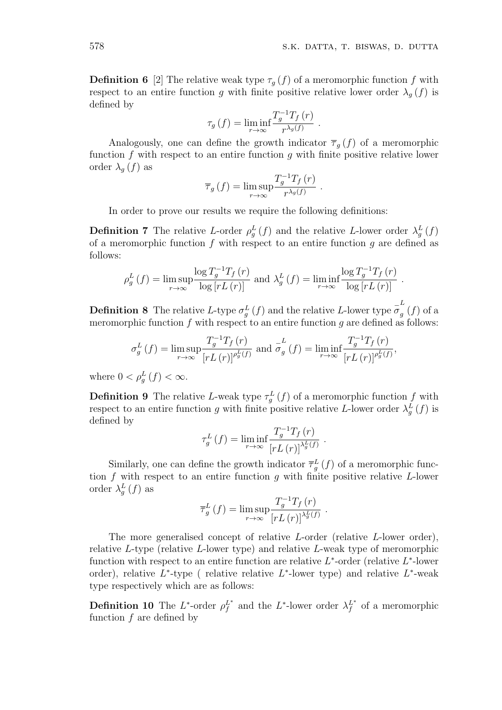**Definition 6** [2] The relative weak type  $\tau_g(f)$  of a meromorphic function  $f$  with respect to an entire function *g* with finite positive relative lower order  $\lambda_g(f)$  is defined by

$$
\tau_g(f) = \liminf_{r \to \infty} \frac{T_g^{-1}T_f(r)}{r^{\lambda_g(f)}}.
$$

Analogously, one can define the growth indicator  $\overline{\tau}_q(f)$  of a meromorphic function *f* with respect to an entire function *g* with finite positive relative lower order  $\lambda_g(f)$  as

$$
\overline{\tau}_g(f) = \limsup_{r \to \infty} \frac{T_g^{-1} T_f(r)}{r^{\lambda_g(f)}}.
$$

In order to prove our results we require the following definitions:

**Definition 7** The relative *L*-order  $\rho_g^L(f)$  and the relative *L*-lower order  $\lambda_g^L(f)$ of a meromorphic function *f* with respect to an entire function *g* are defined as follows:

$$
\rho_g^L(f) = \limsup_{r \to \infty} \frac{\log T_g^{-1} T_f(r)}{\log [rL(r)]} \text{ and } \lambda_g^L(f) = \liminf_{r \to \infty} \frac{\log T_g^{-1} T_f(r)}{\log [rL(r)]}.
$$

**Definition 8** The relative *L*-type  $\sigma_g^L(f)$  and the relative *L*-lower type  $\sigma_g^L$ *g* (*f*) of a meromorphic function  $f$  with respect to an entire function  $g$  are defined as follows:

$$
\sigma_g^L(f) = \limsup_{r \to \infty} \frac{T_g^{-1} T_f(r)}{[r L(r)]^{\rho_g^L(f)}} \text{ and } \sigma_g^L(f) = \liminf_{r \to \infty} \frac{T_g^{-1} T_f(r)}{[r L(r)]^{\rho_g^L(f)}},
$$

where  $0 < \rho_g^L(f) < \infty$ .

**Definition 9** The relative *L*-weak type  $\tau_g^L(f)$  of a meromorphic function  $f$  with respect to an entire function *g* with finite positive relative *L*-lower order  $\lambda_g^L(f)$  is defined by

$$
\tau_g^L(f) = \liminf_{r \to \infty} \frac{T_g^{-1} T_f(r)}{[r L(r)]^{\lambda_g^L(f)}}
$$

.

Similarly, one can define the growth indicator  $\bar{\tau}_g^L(f)$  of a meromorphic function *f* with respect to an entire function *g* with finite positive relative *L*-lower order  $\lambda_g^L(f)$  as

$$
\overline{\tau}_g^L(f) = \limsup_{r \to \infty} \frac{T_g^{-1} T_f(r)}{[r L(r)]^{\lambda_g^L(f)}}.
$$

The more generalised concept of relative *L*-order (relative *L*-lower order), relative *L*-type (relative *L*-lower type) and relative *L*-weak type of meromorphic function with respect to an entire function are relative  $L^*$ -order (relative  $L^*$ -lower order), relative *L*<sup>\*</sup>-type (relative relative *L*<sup>\*</sup>-lower type) and relative *L*<sup>\*</sup>-weak type respectively which are as follows:

**Definition 10** The  $L^*$ -order  $\rho_f^{L^*}$  and the  $L^*$ -lower order  $\lambda_f^{L^*}$  of a meromorphic function *f* are defined by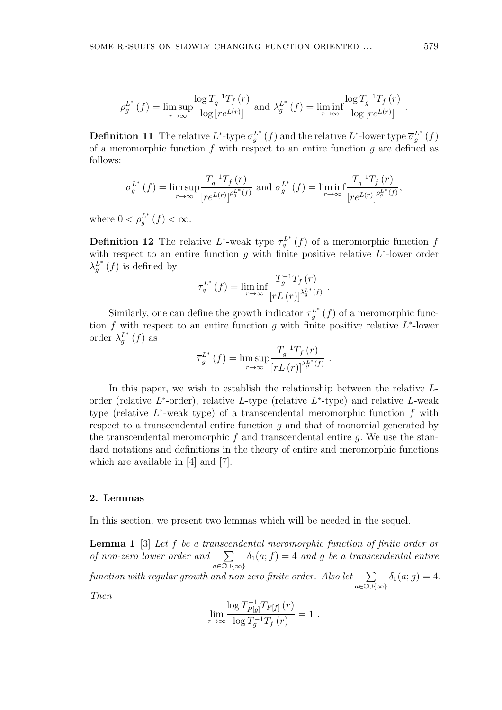$$
\rho_g^{L^*}(f) = \limsup_{r \to \infty} \frac{\log T_g^{-1} T_f(r)}{\log [re^{L(r)}]} \text{ and } \lambda_g^{L^*}(f) = \liminf_{r \to \infty} \frac{\log T_g^{-1} T_f(r)}{\log [re^{L(r)}]}.
$$

**Definition 11** The relative  $L^*$ -type  $\sigma_g^{L^*}(f)$  and the relative  $L^*$ -lower type  $\overline{\sigma}_g^{L^*}(f)$ of a meromorphic function *f* with respect to an entire function *g* are defined as follows:

$$
\sigma_g^{L^*}(f) = \limsup_{r \to \infty} \frac{T_g^{-1}T_f(r)}{\left[re^{L(r)}\right]^{\rho_g^{L^*}(f)}} \text{ and } \overline{\sigma}_g^{L^*}(f) = \liminf_{r \to \infty} \frac{T_g^{-1}T_f(r)}{\left[re^{L(r)}\right]^{\rho_g^{L^*}(f)}},
$$

where  $0 < \rho_g^{L^*}(f) < \infty$ .

**Definition 12** The relative  $L^*$ -weak type  $\tau_g^{L^*}(f)$  of a meromorphic function  $f$ with respect to an entire function *g* with finite positive relative *L ∗* -lower order  $\lambda_g^{L^*}(f)$  is defined by

$$
\tau_g^{L^*}(f) = \liminf_{r \to \infty} \frac{T_g^{-1} T_f(r)}{\left[rL(r)\right]^{\lambda_g^{L^*}(f)}}
$$

.

.

Similarly, one can define the growth indicator  $\overline{\tau}_{g}^{L^*}(f)$  of a meromorphic function *f* with respect to an entire function *g* with finite positive relative *L ∗* -lower order  $\lambda_g^{L^*}(f)$  as

$$
\overline{\tau}_g^{L^*}(f) = \limsup_{r \to \infty} \frac{T_g^{-1} T_f(r)}{\left[rL(r)\right]^{\lambda_g^{L^*}(f)}}
$$

In this paper, we wish to establish the relationship between the relative *L*order (relative *L ∗* -order), relative *L*-type (relative *L ∗* -type) and relative *L*-weak type (relative *L ∗* -weak type) of a transcendental meromorphic function *f* with respect to a transcendental entire function *g* and that of monomial generated by the transcendental meromorphic *f* and transcendental entire *g.* We use the standard notations and definitions in the theory of entire and meromorphic functions which are available in [4] and [7].

### **2. Lemmas**

In this section, we present two lemmas which will be needed in the sequel.

**Lemma 1** [3] *Let f be a transcendental meromorphic function of finite order or of non-zero lower order and* ∑ *a∈*C*∪{∞}*  $\delta_1(a; f) = 4$  *and g be a transcendental entire function with regular growth and non zero finite order. Also let* ∑ *a∈*C*∪{∞}*  $\delta_1(a; g) = 4.$ 

*Then*

$$
\lim_{r \to \infty} \frac{\log T_{P[g]}^{-1} T_{P[f]}(r)}{\log T_g^{-1} T_f(r)} = 1.
$$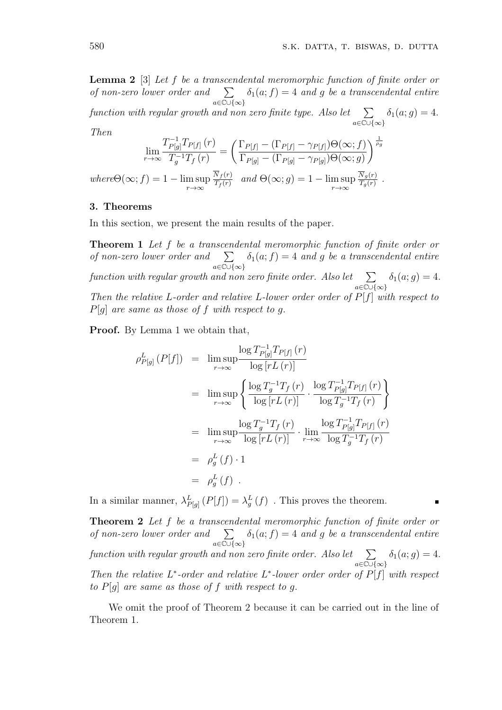**Lemma 2** [3] *Let f be a transcendental meromorphic function of finite order or of non-zero lower order and* ∑ *a∈*C*∪{∞}*  $\delta_1(a; f) = 4$  *and g be a transcendental entire function with regular growth and non zero finite type. Also let* ∑ *a∈*C*∪{∞}*  $\delta_1(a; g) = 4.$ *Then*

$$
\lim_{r \to \infty} \frac{T_{P[g]}^{-1} T_{P[f]}(r)}{T_g^{-1} T_f(r)} = \left( \frac{\Gamma_{P[f]} - (\Gamma_{P[f]} - \gamma_{P[f]}) \Theta(\infty; f)}{\Gamma_{P[g]} - (\Gamma_{P[g]} - \gamma_{P[g]}) \Theta(\infty; g)} \right)^{\frac{1}{\rho_g}}
$$
  
where $\Theta(\infty; f) = 1 - \limsup_{r \to \infty} \frac{\overline{N}_f(r)}{T_f(r)}$  and  $\Theta(\infty; g) = 1 - \limsup_{r \to \infty} \frac{\overline{N}_g(r)}{T_g(r)}$ .

## **3. Theorems**

In this section, we present the main results of the paper.

**Theorem 1** *Let f be a transcendental meromorphic function of finite order or of non-zero lower order and* ∑ *a∈*C*∪{∞}*  $\delta_1(a; f) = 4$  *and g be a transcendental entire function with regular growth and non zero finite order. Also let*  $\sum$ *a∈*C*∪{∞}*  $\delta_1(a; g) = 4.$ *Then the relative L-order and relative L-lower order order of P*[*f*] *with respect to P*[*g*] *are same as those of f with respect to g.*

**Proof.** By Lemma 1 we obtain that,

$$
\rho_{P[g]}^{L}(P[f]) = \lim_{r \to \infty} \frac{\log T_{P[g]}^{-1} T_{P[f]}(r)}{\log [rL(r)]}
$$
  
\n
$$
= \lim_{r \to \infty} \frac{\log T_g^{-1} T_f(r)}{\log [rL(r)]} \cdot \frac{\log T_{P[g]}^{-1} T_{P[f]}(r)}{\log T_g^{-1} T_f(r)} \}
$$
  
\n
$$
= \lim_{r \to \infty} \frac{\log T_g^{-1} T_f(r)}{\log [rL(r)]} \cdot \lim_{r \to \infty} \frac{\log T_{P[g]}^{-1} T_{P[f]}(r)}{\log T_g^{-1} T_f(r)}
$$
  
\n
$$
= \rho_g^L(f) \cdot 1
$$
  
\n
$$
= \rho_g^L(f).
$$

In a similar manner,  $\lambda_{P[g]}^L(P[f]) = \lambda_g^L(f)$ . This proves the theorem.

**Theorem 2** *Let f be a transcendental meromorphic function of finite order or of non-zero lower order and* ∑ *a∈*C*∪{∞}*  $\delta_1(a; f) = 4$  *and g be a transcendental entire function with regular growth and non zero finite order. Also let* ∑ *a∈*C*∪{∞}*  $\delta_1(a; g) = 4.$ *Then the relative*  $L^*$ -order and relative  $L^*$ -lower order order of  $P[f]$  with respect *to*  $P[q]$  *are same as those of*  $f$  *with respect to q.* 

We omit the proof of Theorem 2 because it can be carried out in the line of Theorem 1.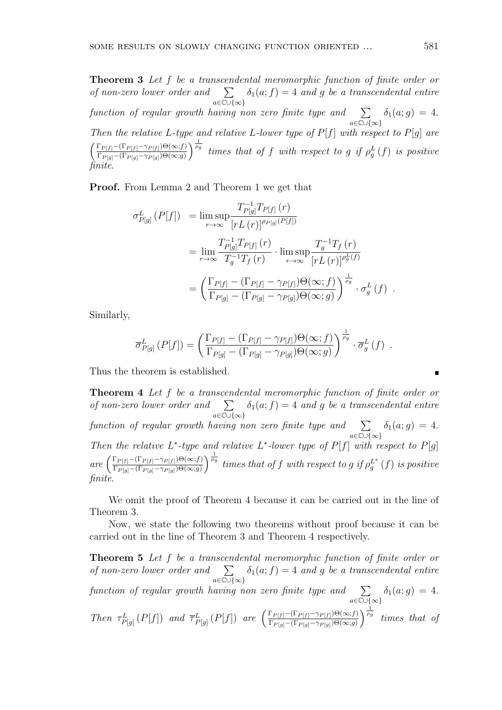**Theorem 3** *Let f be a transcendental meromorphic function of finite order or of non-zero lower order and* ∑ *a∈*C*∪{∞}*  $\delta_1(a; f) = 4$  *and g be a transcendental entire function of regular growth having non zero finite type and* ∑ *a∈*C*∪{∞}*  $\delta_1(a; g) = 4.$ *Then the relative L-type and relative L-lower type of*  $P[f]$  *with respect to*  $P[g]$  *are*  $\int \Gamma_{P[f]} - (\Gamma_{P[f]} - \gamma_{P[f]}) \Theta(\infty; f)$  $\Gamma_{P[g]}$  –  $(\Gamma_{P[g]}$  –  $\gamma_{P[g]})\Theta(\infty;g)$  $\int_{a}^{\frac{1}{\rho_g}}$  *times that of f with respect to g if*  $\rho_g^L(f)$  *is positive finite.*

**Proof.** From Lemma 2 and Theorem 1 we get that

$$
\sigma_{P[g]}^{L}(P[f]) = \limsup_{r \to \infty} \frac{T_{P[g]}^{-1} T_{P[f]}(r)}{[r L(r)]^{\rho_{P[g]}(P[f])}}
$$
  
\n
$$
= \lim_{r \to \infty} \frac{T_{P[g]}^{-1} T_{P[f]}(r)}{T_g^{-1} T_f(r)} \cdot \limsup_{r \to \infty} \frac{T_g^{-1} T_f(r)}{[r L(r)]^{\rho_g^L(f)}}
$$
  
\n
$$
= \left(\frac{\Gamma_{P[f]} - (\Gamma_{P[f]} - \gamma_{P[f]}) \Theta(\infty; f)}{\Gamma_{P[g]} - (\Gamma_{P[g]} - \gamma_{P[g]}) \Theta(\infty; g)}\right)^{\frac{1}{\rho_g}} \cdot \sigma_g^L(f) .
$$

Similarly,

$$
\overline{\sigma}_{P[g]}^{L}(P[f]) = \left(\frac{\Gamma_{P[f]} - (\Gamma_{P[f]} - \gamma_{P[f]})\Theta(\infty; f)}{\Gamma_{P[g]} - (\Gamma_{P[g]} - \gamma_{P[g]})\Theta(\infty; g)}\right)^{\frac{1}{\rho_g}} \cdot \overline{\sigma}_g^L(f) .
$$

Thus the theorem is established.

**Theorem 4** *Let f be a transcendental meromorphic function of finite order or of non-zero lower order and* ∑ *a∈*C*∪{∞}*  $\delta_1(a; f) = 4$  *and g be a transcendental entire function of regular growth having non zero finite type and* ∑ *a∈*C*∪{∞}*  $\delta_1(a; g) = 4.$ *Then the relative*  $L^*$ -type and relative  $L^*$ -lower type of  $P[f]$  with respect to  $P[g]$  $\int \frac{\Gamma_{P[f]} - (\Gamma_{P[f]} - \gamma_{P[f]}) \Theta(\infty;f)}{\Gamma_{P[f]} - (\Gamma_{P[f]} - \gamma_{P[f]}) \Theta(\infty;g)}$  $\Gamma_{P[g]}$  –  $(\Gamma_{P[g]}$  –  $\gamma_{P[g]})\Theta(\infty;g)$  $\int_{0}^{\frac{1}{\rho_g}}$  *times that of f with respect to g if*  $\rho_g^{L^*}(f)$  *is positive finite.*

We omit the proof of Theorem 4 because it can be carried out in the line of Theorem 3*.*

Now, we state the following two theorems without proof because it can be carried out in the line of Theorem 3 and Theorem 4 respectively.

**Theorem 5** *Let f be a transcendental meromorphic function of finite order or of non-zero lower order and* ∑ *a∈*C*∪{∞}*  $\delta_1(a; f) = 4$  *and g be a transcendental entire function of regular growth having non zero finite type and* ∑ *a∈*C*∪{∞}*  $\delta_1(a; g) = 4.$ Then  $\tau_{P[g]}^{L}(P[f])$  and  $\overline{\tau}_{P[g]}^{L}(P[f])$  are  $\left(\frac{\Gamma_{P[f]}-(\Gamma_{P[f]}-\gamma_{P[f]})\Theta(\infty;f)}{\Gamma_{P[g]}-(\Gamma_{P[g]}-\gamma_{P[g]})\Theta(\infty;q)}\right)$  $\Gamma_{P[g]}$  –  $(\Gamma_{P[g]}$  –  $\gamma_{P[g]})\Theta(\infty;g)$  $\int_{\frac{\rho_g}{}}^{\frac{1}{\rho_g}}$  *times that of*